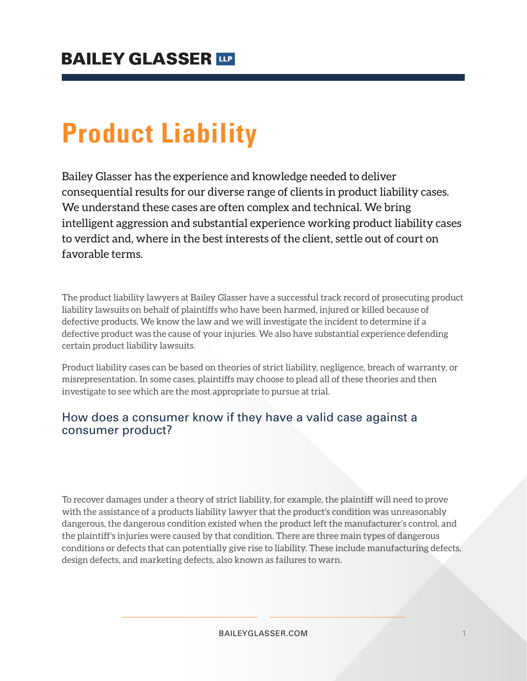# **Product Liability**

Bailey Glasser has the experience and knowledge needed to deliver consequential results for our diverse range of clients in product liability cases. We understand these cases are often complex and technical. We bring intelligent aggression and substantial experience working product liability cases to verdict and, where in the best interests of the client, settle out of court on favorable terms.

The product liability lawyers at Bailey Glasser have a successful track record of prosecuting product liability lawsuits on behalf of plaintiffs who have been harmed, injured or killed because of defective products. We know the law and we will investigate the incident to determine if a defective product was the cause of your injuries. We also have substantial experience defending certain product liability lawsuits.

Product liability cases can be based on theories of strict liability, negligence, breach of warranty, or misrepresentation. In some cases, plaintiffs may choose to plead all of these theories and then investigate to see which are the most appropriate to pursue at trial.

#### How does a consumer know if they have a valid case against a consumer product?

To recover damages under a theory of strict liability, for example, the plaintiff will need to prove with the assistance of a products liability lawyer that the product's condition was unreasonably dangerous, the dangerous condition existed when the product left the manufacturer's control, and the plaintiff's injuries were caused by that condition. There are three main types of dangerous conditions or defects that can potentially give rise to liability. These include manufacturing defects, design defects, and marketing defects, also known as failures to warn.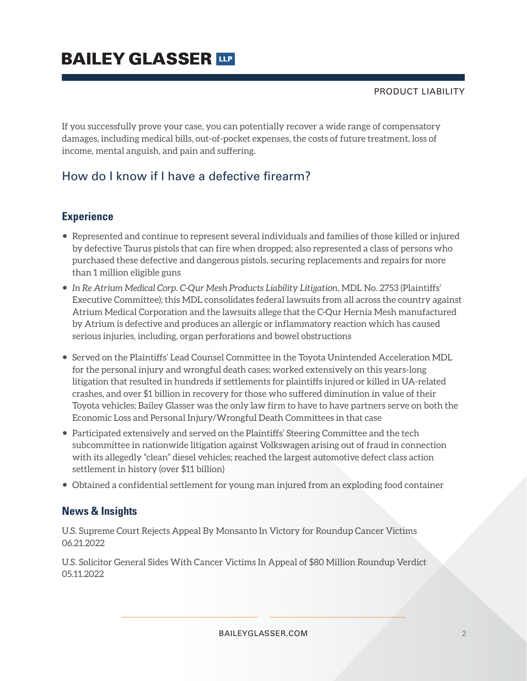## **BAILEY GLASSER TIP**

PRODUCT LIABILITY

If you successfully prove your case, you can potentially recover a wide range of compensatory damages, including medical bills, out-of-pocket expenses, the costs of future treatment, loss of income, mental anguish, and pain and suffering.

### How do I know if I have a defective firearm?

#### **Experience**

- Represented and continue to represent several individuals and families of those killed or injured by defective Taurus pistols that can fire when dropped; also represented a class of persons who purchased these defective and dangerous pistols, securing replacements and repairs for more than 1 million eligible guns
- *In Re Atrium Medical Corp. C-Qur Mesh Products Liability Litigation,* MDL No. 2753 (Plaintiffs' Executive Committee); this MDL consolidates federal lawsuits from all across the country against Atrium Medical Corporation and the lawsuits allege that the C-Qur Hernia Mesh manufactured by Atrium is defective and produces an allergic or inflammatory reaction which has caused serious injuries, including, organ perforations and bowel obstructions
- Served on the Plaintiffs' Lead Counsel Committee in the Toyota Unintended Acceleration MDL for the personal injury and wrongful death cases; worked extensively on this years-long litigation that resulted in hundreds if settlements for plaintiffs injured or killed in UA-related crashes, and over \$1 billion in recovery for those who suffered diminution in value of their Toyota vehicles; Bailey Glasser was the only law firm to have to have partners serve on both the Economic Loss and Personal Injury/Wrongful Death Committees in that case
- Participated extensively and served on the Plaintiffs' Steering Committee and the tech subcommittee in nationwide litigation against Volkswagen arising out of fraud in connection with its allegedly "clean" diesel vehicles; reached the largest automotive defect class action settlement in history (over \$11 billion)
- Obtained a confidential settlement for young man injured from an exploding food container

#### **News & Insights**

U.S. Supreme Court Rejects Appeal By Monsanto In Victory for Roundup Cancer Victims 06.21.2022

U.S. Solicitor General Sides With Cancer Victims In Appeal of \$80 Million Roundup Verdict 05.11.2022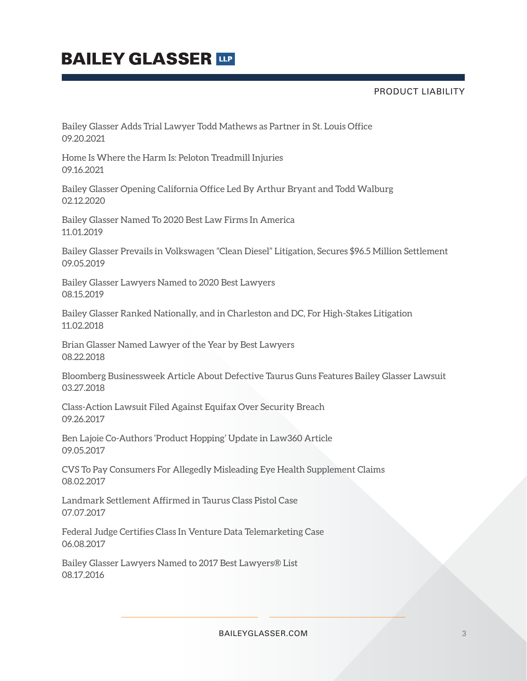## **BAILEY GLASSER TIP**

PRODUCT LIABILITY

Bailey Glasser Adds Trial Lawyer Todd Mathews as Partner in St. Louis Office 09.20.2021

Home Is Where the Harm Is: Peloton Treadmill Injuries 09.16.2021

Bailey Glasser Opening California Office Led By Arthur Bryant and Todd Walburg 02.12.2020

Bailey Glasser Named To 2020 Best Law Firms In America 11.01.2019

Bailey Glasser Prevails in Volkswagen "Clean Diesel" Litigation, Secures \$96.5 Million Settlement 09.05.2019

Bailey Glasser Lawyers Named to 2020 Best Lawyers 08.15.2019

Bailey Glasser Ranked Nationally, and in Charleston and DC, For High-Stakes Litigation 11.02.2018

Brian Glasser Named Lawyer of the Year by Best Lawyers 08.22.2018

Bloomberg Businessweek Article About Defective Taurus Guns Features Bailey Glasser Lawsuit 03.27.2018

Class-Action Lawsuit Filed Against Equifax Over Security Breach 09.26.2017

Ben Lajoie Co-Authors 'Product Hopping' Update in Law360 Article 09.05.2017

CVS To Pay Consumers For Allegedly Misleading Eye Health Supplement Claims 08.02.2017

Landmark Settlement Affirmed in Taurus Class Pistol Case 07.07.2017

Federal Judge Certifies Class In Venture Data Telemarketing Case 06.08.2017

Bailey Glasser Lawyers Named to 2017 Best Lawyers® List 08.17.2016